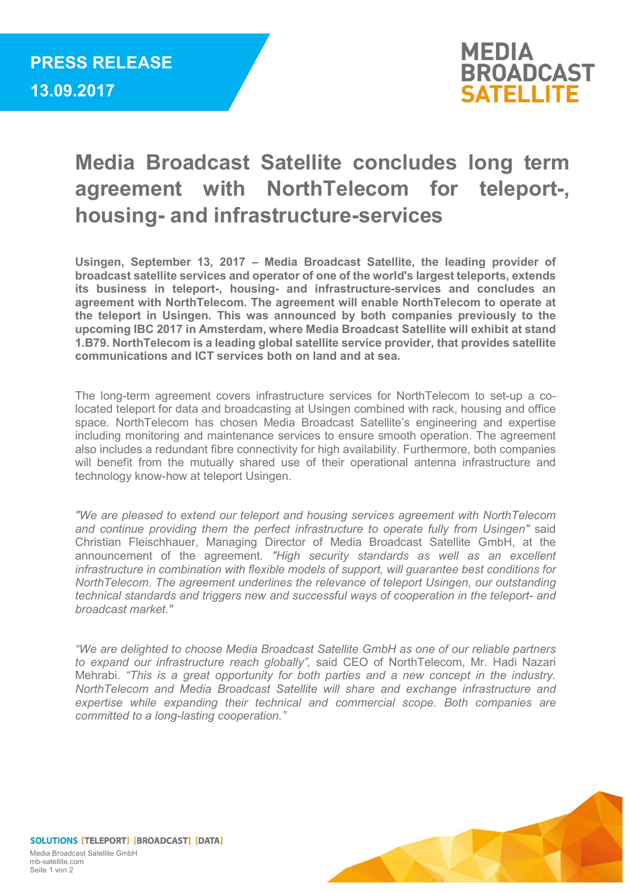

## Media Broadcast Satellite concludes long term agreement with NorthTelecom for teleport-, housing- and infrastructure-services

Usingen, September 13, 2017 – Media Broadcast Satellite, the leading provider of broadcast satellite services and operator of one of the world's largest teleports, extends its business in teleport-, housing- and infrastructure-services and concludes an agreement with NorthTelecom. The agreement will enable NorthTelecom to operate at the teleport in Usingen. This was announced by both companies previously to the upcoming IBC 2017 in Amsterdam, where Media Broadcast Satellite will exhibit at stand 1.B79. NorthTelecom is a leading global satellite service provider, that provides satellite communications and ICT services both on land and at sea.

The long-term agreement covers infrastructure services for NorthTelecom to set-up a colocated teleport for data and broadcasting at Usingen combined with rack, housing and office space. NorthTelecom has chosen Media Broadcast Satellite's engineering and expertise including monitoring and maintenance services to ensure smooth operation. The agreement also includes a redundant fibre connectivity for high availability. Furthermore, both companies will benefit from the mutually shared use of their operational antenna infrastructure and technology know-how at teleport Usingen.

"We are pleased to extend our teleport and housing services agreement with NorthTelecom and continue providing them the perfect infrastructure to operate fully from Usingen" said Christian Fleischhauer, Managing Director of Media Broadcast Satellite GmbH, at the announcement of the agreement. "High security standards as well as an excellent infrastructure in combination with flexible models of support, will guarantee best conditions for NorthTelecom. The agreement underlines the relevance of teleport Usingen, our outstanding technical standards and triggers new and successful ways of cooperation in the teleport- and broadcast market."

"We are delighted to choose Media Broadcast Satellite GmbH as one of our reliable partners to expand our infrastructure reach globally", said CEO of NorthTelecom, Mr. Hadi Nazari Mehrabi. "This is a great opportunity for both parties and a new concept in the industry. NorthTelecom and Media Broadcast Satellite will share and exchange infrastructure and expertise while expanding their technical and commercial scope. Both companies are committed to a long-lasting cooperation."



SOLUTIONS [TELEPORT] [BROADCAST] [DATA] Media Broadcast Satellite GmbH mb-satellite.com Seite 1 von 2